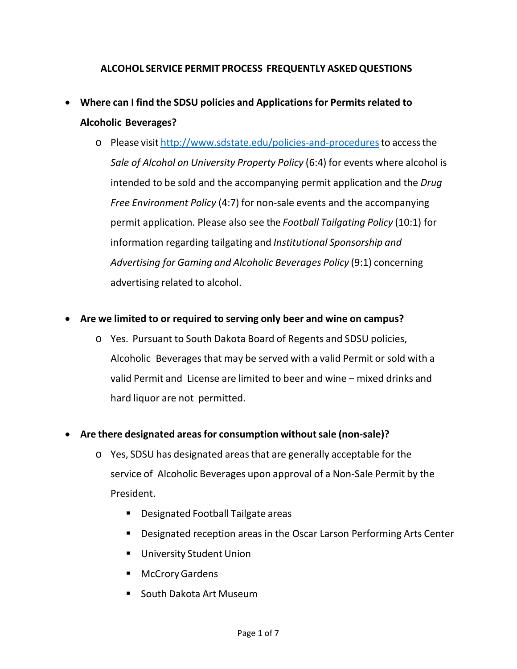# **ALCOHOL SERVICE PERMIT PROCESS FREQUENTLY ASKEDQUESTIONS**

- **Where can I find the SDSU policies and Applicationsfor Permits related to Alcoholic Beverages?**
	- o Please visit [http://www.sdstate.edu/policies-and-procedurest](http://www.sdstate.edu/policies-and-procedures)o accessthe *Sale of Alcohol on University Property Policy* (6:4) for events where alcohol is intended to be sold and the accompanying permit application and the *Drug Free Environment Policy* (4:7) for non-sale events and the accompanying permit application. Please also see the *Football Tailgating Policy* (10:1) for information regarding tailgating and *Institutional Sponsorship and Advertising for Gaming and Alcoholic Beverages Policy* (9:1) concerning advertising related to alcohol.
- **Are we limited to or required to serving only beer and wine on campus?**
	- o Yes. Pursuant to South Dakota Board of Regents and SDSU policies, Alcoholic Beveragesthat may be served with a valid Permit or sold with a valid Permit and License are limited to beer and wine – mixed drinks and hard liquor are not permitted.

# • **Are there designated areasfor consumption withoutsale (non-sale)?**

- o Yes, SDSU has designated areasthat are generally acceptable for the service of Alcoholic Beverages upon approval of a Non-Sale Permit by the President.
	- Designated Football Tailgate areas
	- **Designated reception areas in the Oscar Larson Performing Arts Center**
	- **University Student Union**
	- McCrory Gardens
	- South Dakota Art Museum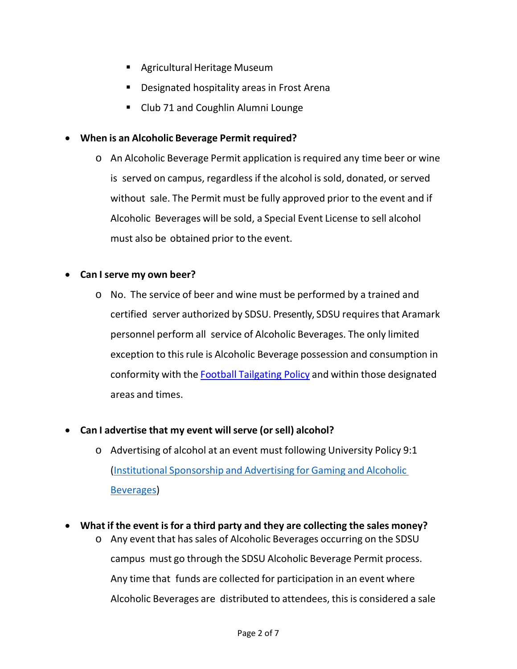- **Agricultural Heritage Museum**
- **•** Designated hospitality areas in Frost Arena
- Club 71 and Coughlin Alumni Lounge

### • **When is an Alcoholic Beverage Permit required?**

o An Alcoholic Beverage Permit application isrequired any time beer or wine is served on campus, regardlessif the alcohol is sold, donated, or served without sale. The Permit must be fully approved prior to the event and if Alcoholic Beverages will be sold, a Special Event License to sell alcohol must also be obtained prior to the event.

#### • **Can I serve my own beer?**

- o No. The service of beer and wine must be performed by a trained and certified server authorized by SDSU. Presently, SDSU requires that Aramark personnel perform all service of Alcoholic Beverages. The only limited exception to this rule is Alcoholic Beverage possession and consumption in conformity with the Football [Tailgating Policy](https://www.sdstate.edu/sites/default/files/Football%20Tailgating.pdf) and within those designated areas and times.
- **Can I advertise that my event willserve (or sell) alcohol?**
	- o Advertising of alcohol at an event must following University Policy 9:1 (Institutional Sponsorship and [Advertising for Gaming](http://www.sdstate.edu/sites/default/files/policies/upload/Institutional-Sponsorship-and-Advertising-for-Gaming-and-Alcoholic-Beverages.pdf) and Alcoholic [Beverages\)](http://www.sdstate.edu/sites/default/files/policies/upload/Institutional-Sponsorship-and-Advertising-for-Gaming-and-Alcoholic-Beverages.pdf)
- **What if the event is for a third party and they are collecting the sales money?**
	- o Any event that hassales of Alcoholic Beverages occurring on the SDSU campus must go through the SDSU Alcoholic Beverage Permit process. Any time that funds are collected for participation in an event where Alcoholic Beverages are distributed to attendees, this is considered a sale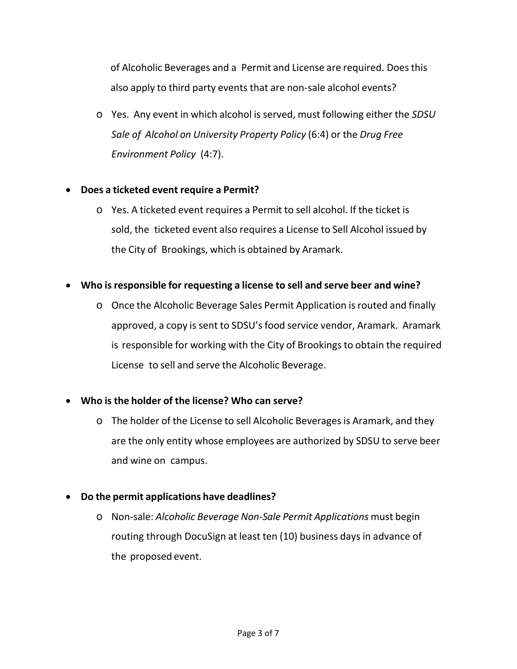of Alcoholic Beverages and a Permit and License are required. Doesthis also apply to third party events that are non-sale alcohol events?

o Yes. Any event in which alcohol is served, must following either the *SDSU Sale of Alcohol on University Property Policy* (6:4) or the *Drug Free Environment Policy* (4:7).

#### • **Does a ticketed event require a Permit?**

o Yes. A ticketed event requires a Permit to sell alcohol. If the ticket is sold, the ticketed event also requires a License to Sell Alcohol issued by the City of Brookings, which is obtained by Aramark.

# • **Who is responsible for requesting a license to sell and serve beer and wine?**

o Once the Alcoholic Beverage Sales Permit Application isrouted and finally approved, a copy is sent to SDSU's food service vendor, Aramark. Aramark is responsible for working with the City of Brookings to obtain the required License to sell and serve the Alcoholic Beverage.

# • **Who is the holder of the license? Who can serve?**

- o The holder of the License to sell Alcoholic Beveragesis Aramark, and they are the only entity whose employees are authorized by SDSU to serve beer and wine on campus.
- **Do the permit applications have deadlines?**
	- o Non-sale: *Alcoholic Beverage Non-Sale Permit Applications* must begin routing through DocuSign at least ten (10) business days in advance of the proposed event.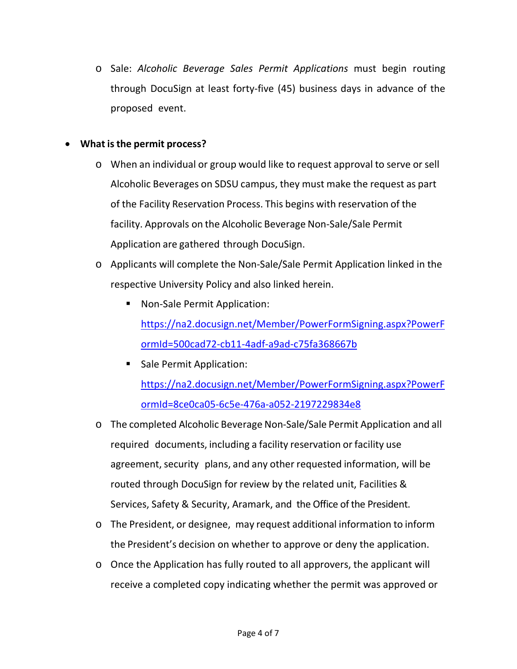o Sale: *Alcoholic Beverage Sales Permit Applications* must begin routing through DocuSign at least forty-five (45) business days in advance of the proposed event.

#### • **What isthe permit process?**

- o When an individual or group would like to request approval to serve or sell Alcoholic Beverages on SDSU campus, they must make the request as part of the Facility Reservation Process. This begins with reservation of the facility. Approvals on the Alcoholic Beverage Non-Sale/Sale Permit Application are gathered through DocuSign.
- o Applicants will complete the Non-Sale/Sale Permit Application linked in the respective University Policy and also linked herein.
	- **Non-Sale Permit Application:** [https://na2.docusign.net/Member/PowerFormSigning.aspx?PowerF](https://na2.docusign.net/Member/PowerFormSigning.aspx?PowerFormId=500cad72-cb11-4adf-a9ad-c75fa368667b) [ormId=500cad72-cb11-4adf-a9ad-c75fa368667b](https://na2.docusign.net/Member/PowerFormSigning.aspx?PowerFormId=500cad72-cb11-4adf-a9ad-c75fa368667b)
	- **Sale Permit Application:** [https://na2.docusign.net/Member/PowerFormSigning.aspx?PowerF](https://na2.docusign.net/Member/PowerFormSigning.aspx?PowerFormId=8ce0ca05-6c5e-476a-a052-2197229834e8) [ormId=8ce0ca05-6c5e-476a-a052-2197229834e8](https://na2.docusign.net/Member/PowerFormSigning.aspx?PowerFormId=8ce0ca05-6c5e-476a-a052-2197229834e8)
- o The completed Alcoholic Beverage Non-Sale/Sale Permit Application and all required documents, including a facility reservation or facility use agreement, security plans, and any other requested information, will be routed through DocuSign for review by the related unit, Facilities & Services, Safety & Security, Aramark, and the Office of the President.
- o The President, or designee, may request additional information to inform the President's decision on whether to approve or deny the application.
- o Once the Application has fully routed to all approvers, the applicant will receive a completed copy indicating whether the permit was approved or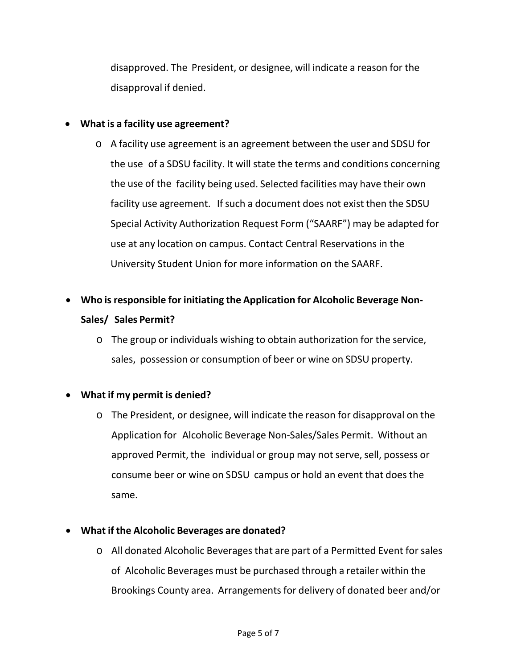disapproved. The President, or designee, will indicate a reason for the disapproval if denied.

### • **What is a facility use agreement?**

- o A facility use agreement is an agreement between the user and SDSU for the use of a SDSU facility. It will state the terms and conditions concerning the use of the facility being used. Selected facilities may have their own facility use agreement. If such a document does not exist then the SDSU Special Activity Authorization Request Form ("SAARF") may be adapted for use at any location on campus. Contact Central Reservations in the University Student Union for more information on the SAARF.
- **Who is responsible for initiating the Application for Alcoholic Beverage Non-Sales/ Sales Permit?**
	- o The group or individuals wishing to obtain authorization for the service, sales, possession or consumption of beer or wine on SDSU property.

# • **What if my permit is denied?**

o The President, or designee, will indicate the reason for disapproval on the Application for Alcoholic Beverage Non-Sales/Sales Permit. Without an approved Permit, the individual or group may not serve, sell, possess or consume beer or wine on SDSU campus or hold an event that does the same.

#### • **What if the Alcoholic Beverages are donated?**

o All donated Alcoholic Beveragesthat are part of a Permitted Event for sales of Alcoholic Beverages must be purchased through a retailer within the Brookings County area. Arrangements for delivery of donated beer and/or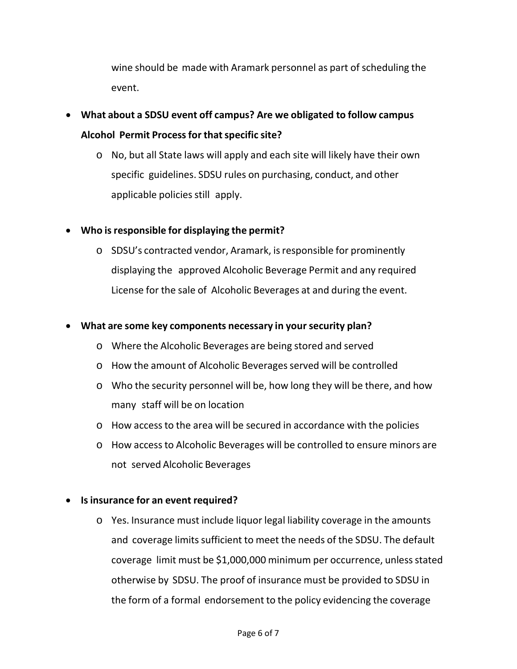wine should be made with Aramark personnel as part of scheduling the event.

- **What about a SDSU event off campus? Are we obligated to follow campus Alcohol Permit Processfor thatspecific site?**
	- o No, but all State laws will apply and each site will likely have their own specific guidelines. SDSU rules on purchasing, conduct, and other applicable policies still apply.

# • **Who isresponsible for displaying the permit?**

o SDSU's contracted vendor, Aramark, isresponsible for prominently displaying the approved Alcoholic Beverage Permit and any required License for the sale of Alcoholic Beverages at and during the event.

#### • **What are some key components necessary in your security plan?**

- o Where the Alcoholic Beverages are being stored and served
- o How the amount of Alcoholic Beverages served will be controlled
- o Who the security personnel will be, how long they will be there, and how many staff will be on location
- o How accessto the area will be secured in accordance with the policies
- o How accessto Alcoholic Beverages will be controlled to ensure minors are not served Alcoholic Beverages

#### • **Is insurance for an event required?**

o Yes. Insurance must include liquor legal liability coverage in the amounts and coverage limits sufficient to meet the needs of the SDSU. The default coverage limit must be \$1,000,000 minimum per occurrence, unless stated otherwise by SDSU. The proof of insurance must be provided to SDSU in the form of a formal endorsement to the policy evidencing the coverage